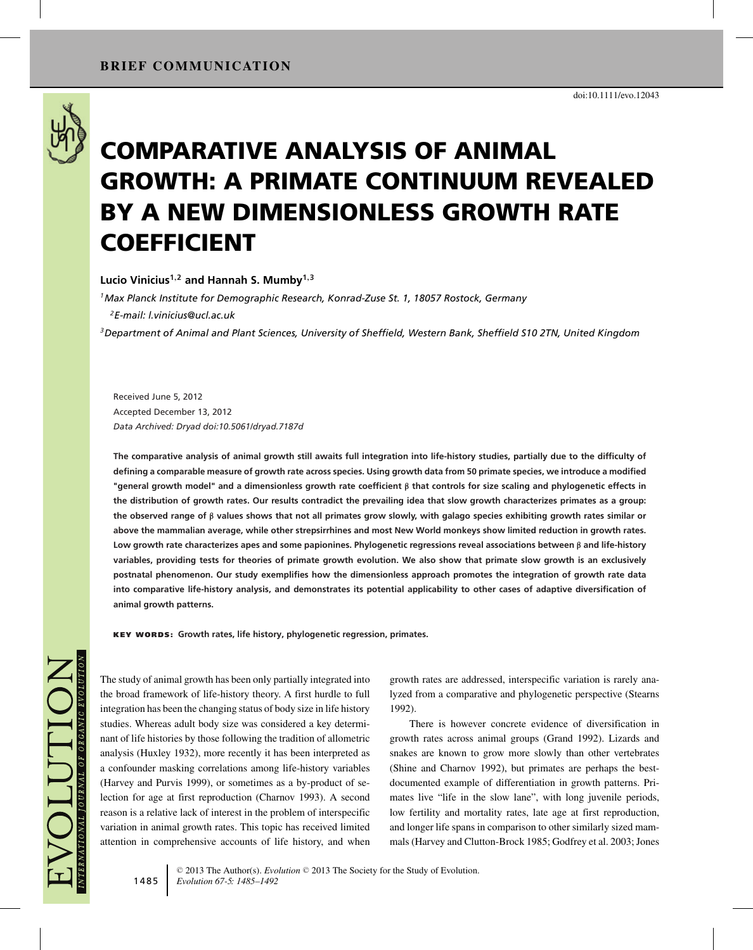

# **COMPARATIVE ANALYSIS OF ANIMAL GROWTH: A PRIMATE CONTINUUM REVEALED BY A NEW DIMENSIONLESS GROWTH RATE COEFFICIENT**

**Lucio Vinicius1,<sup>2</sup> and Hannah S. Mumby1,<sup>3</sup>**

*1Max Planck Institute for Demographic Research, Konrad-Zuse St. 1, 18057 Rostock, Germany*

*2E-mail: l.vinicius@ucl.ac.uk*

*3Department of Animal and Plant Sciences, University of Sheffield, Western Bank, Sheffield S10 2TN, United Kingdom*

Received June 5, 2012 Accepted December 13, 2012 *Data Archived: Dryad doi:10.5061/dryad.7187d*

**The comparative analysis of animal growth still awaits full integration into life-history studies, partially due to the difficulty of defining a comparable measure of growth rate across species. Using growth data from 50 primate species, we introduce a modified "general growth model" and a dimensionless growth rate coefficient β that controls for size scaling and phylogenetic effects in the distribution of growth rates. Our results contradict the prevailing idea that slow growth characterizes primates as a group: the observed range of β values shows that not all primates grow slowly, with galago species exhibiting growth rates similar or above the mammalian average, while other strepsirrhines and most New World monkeys show limited reduction in growth rates. Low growth rate characterizes apes and some papionines. Phylogenetic regressions reveal associations between β and life-history variables, providing tests for theories of primate growth evolution. We also show that primate slow growth is an exclusively postnatal phenomenon. Our study exemplifies how the dimensionless approach promotes the integration of growth rate data into comparative life-history analysis, and demonstrates its potential applicability to other cases of adaptive diversification of animal growth patterns.**

**KEY WORDS: Growth rates, life history, phylogenetic regression, primates.**

The study of animal growth has been only partially integrated into the broad framework of life-history theory. A first hurdle to full integration has been the changing status of body size in life history studies. Whereas adult body size was considered a key determinant of life histories by those following the tradition of allometric analysis (Huxley 1932), more recently it has been interpreted as a confounder masking correlations among life-history variables (Harvey and Purvis 1999), or sometimes as a by-product of selection for age at first reproduction (Charnov 1993). A second reason is a relative lack of interest in the problem of interspecific variation in animal growth rates. This topic has received limited attention in comprehensive accounts of life history, and when

growth rates are addressed, interspecific variation is rarely analyzed from a comparative and phylogenetic perspective (Stearns 1992).

There is however concrete evidence of diversification in growth rates across animal groups (Grand 1992). Lizards and snakes are known to grow more slowly than other vertebrates (Shine and Charnov 1992), but primates are perhaps the bestdocumented example of differentiation in growth patterns. Primates live "life in the slow lane", with long juvenile periods, low fertility and mortality rates, late age at first reproduction, and longer life spans in comparison to other similarly sized mammals (Harvey and Clutton-Brock 1985; Godfrey et al. 2003; Jones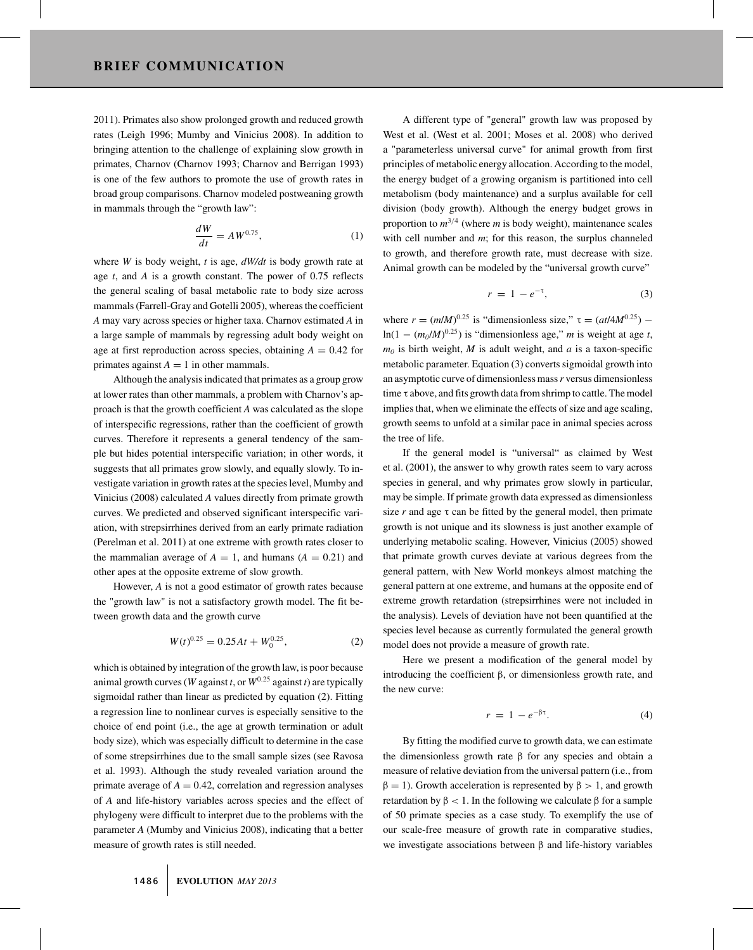2011). Primates also show prolonged growth and reduced growth rates (Leigh 1996; Mumby and Vinicius 2008). In addition to bringing attention to the challenge of explaining slow growth in primates, Charnov (Charnov 1993; Charnov and Berrigan 1993) is one of the few authors to promote the use of growth rates in broad group comparisons. Charnov modeled postweaning growth in mammals through the "growth law":

$$
\frac{dW}{dt} = AW^{0.75},\tag{1}
$$

where *W* is body weight, *t* is age, *dW/dt* is body growth rate at age *t*, and *A* is a growth constant. The power of 0.75 reflects the general scaling of basal metabolic rate to body size across mammals (Farrell-Gray and Gotelli 2005), whereas the coefficient *A* may vary across species or higher taxa. Charnov estimated *A* in a large sample of mammals by regressing adult body weight on age at first reproduction across species, obtaining  $A = 0.42$  for primates against  $A = 1$  in other mammals.

Although the analysis indicated that primates as a group grow at lower rates than other mammals, a problem with Charnov's approach is that the growth coefficient *A* was calculated as the slope of interspecific regressions, rather than the coefficient of growth curves. Therefore it represents a general tendency of the sample but hides potential interspecific variation; in other words, it suggests that all primates grow slowly, and equally slowly. To investigate variation in growth rates at the species level, Mumby and Vinicius (2008) calculated *A* values directly from primate growth curves. We predicted and observed significant interspecific variation, with strepsirrhines derived from an early primate radiation (Perelman et al. 2011) at one extreme with growth rates closer to the mammalian average of  $A = 1$ , and humans  $(A = 0.21)$  and other apes at the opposite extreme of slow growth.

However, *A* is not a good estimator of growth rates because the "growth law" is not a satisfactory growth model. The fit between growth data and the growth curve

$$
W(t)^{0.25} = 0.25At + W_0^{0.25},\tag{2}
$$

which is obtained by integration of the growth law, is poor because animal growth curves (*W* against *t*, or  $W^{0.25}$  against *t*) are typically sigmoidal rather than linear as predicted by equation (2). Fitting a regression line to nonlinear curves is especially sensitive to the choice of end point (i.e., the age at growth termination or adult body size), which was especially difficult to determine in the case of some strepsirrhines due to the small sample sizes (see Ravosa et al. 1993). Although the study revealed variation around the primate average of  $A = 0.42$ , correlation and regression analyses of *A* and life-history variables across species and the effect of phylogeny were difficult to interpret due to the problems with the parameter *A* (Mumby and Vinicius 2008), indicating that a better measure of growth rates is still needed.

A different type of "general" growth law was proposed by West et al. (West et al. 2001; Moses et al. 2008) who derived a "parameterless universal curve" for animal growth from first principles of metabolic energy allocation. According to the model, the energy budget of a growing organism is partitioned into cell metabolism (body maintenance) and a surplus available for cell division (body growth). Although the energy budget grows in proportion to  $m^{3/4}$  (where *m* is body weight), maintenance scales with cell number and *m*; for this reason, the surplus channeled to growth, and therefore growth rate, must decrease with size. Animal growth can be modeled by the "universal growth curve"

$$
r = 1 - e^{-\tau},\tag{3}
$$

where  $r = (m/M)^{0.25}$  is "dimensionless size,"  $\tau = (at/4M^{0.25})$  –  $\ln(1 - (m_0/M)^{0.25})$  is "dimensionless age," *m* is weight at age *t*,  $m_0$  is birth weight, *M* is adult weight, and *a* is a taxon-specific metabolic parameter. Equation (3) converts sigmoidal growth into an asymptotic curve of dimensionless mass*r* versus dimensionless time τ above, and fits growth data from shrimp to cattle. The model implies that, when we eliminate the effects of size and age scaling, growth seems to unfold at a similar pace in animal species across the tree of life.

If the general model is "universal" as claimed by West et al. (2001), the answer to why growth rates seem to vary across species in general, and why primates grow slowly in particular, may be simple. If primate growth data expressed as dimensionless size  $r$  and age  $\tau$  can be fitted by the general model, then primate growth is not unique and its slowness is just another example of underlying metabolic scaling. However, Vinicius (2005) showed that primate growth curves deviate at various degrees from the general pattern, with New World monkeys almost matching the general pattern at one extreme, and humans at the opposite end of extreme growth retardation (strepsirrhines were not included in the analysis). Levels of deviation have not been quantified at the species level because as currently formulated the general growth model does not provide a measure of growth rate.

Here we present a modification of the general model by introducing the coefficient β, or dimensionless growth rate, and the new curve:

$$
r = 1 - e^{-\beta \tau}.
$$
 (4)

By fitting the modified curve to growth data, we can estimate the dimensionless growth rate β for any species and obtain a measure of relative deviation from the universal pattern (i.e., from  $β = 1$ ). Growth acceleration is represented by  $β > 1$ , and growth retardation by β *<* 1. In the following we calculate β for a sample of 50 primate species as a case study. To exemplify the use of our scale-free measure of growth rate in comparative studies, we investigate associations between  $β$  and life-history variables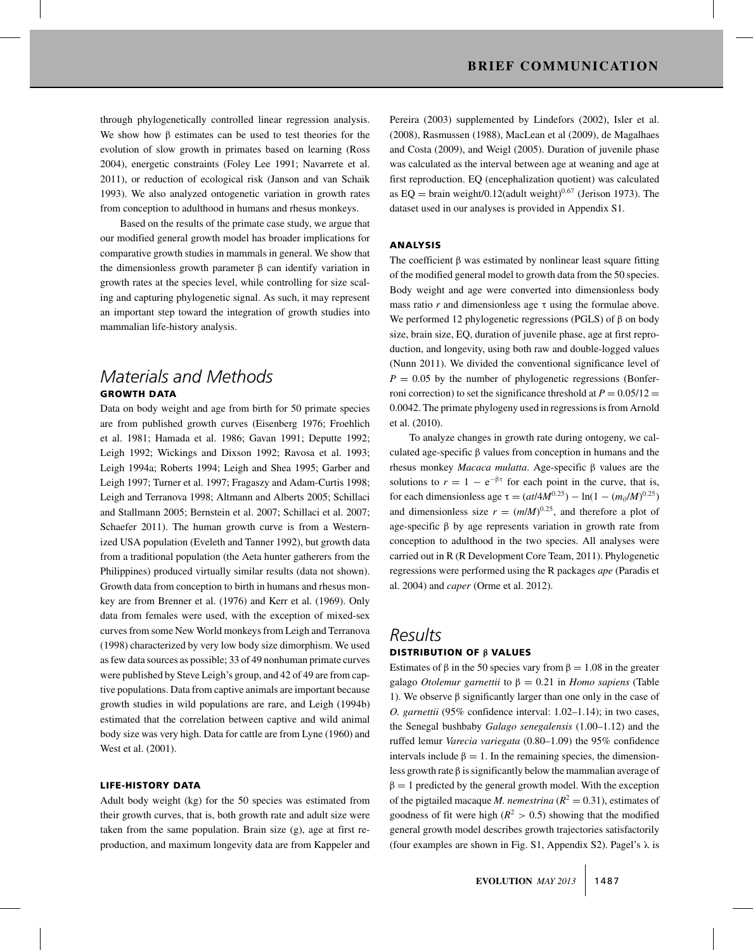through phylogenetically controlled linear regression analysis. We show how β estimates can be used to test theories for the evolution of slow growth in primates based on learning (Ross 2004), energetic constraints (Foley Lee 1991; Navarrete et al. 2011), or reduction of ecological risk (Janson and van Schaik 1993). We also analyzed ontogenetic variation in growth rates from conception to adulthood in humans and rhesus monkeys.

Based on the results of the primate case study, we argue that our modified general growth model has broader implications for comparative growth studies in mammals in general. We show that the dimensionless growth parameter β can identify variation in growth rates at the species level, while controlling for size scaling and capturing phylogenetic signal. As such, it may represent an important step toward the integration of growth studies into mammalian life-history analysis.

### *Materials and Methods* **GROWTH DATA**

Data on body weight and age from birth for 50 primate species are from published growth curves (Eisenberg 1976; Froehlich et al. 1981; Hamada et al. 1986; Gavan 1991; Deputte 1992; Leigh 1992; Wickings and Dixson 1992; Ravosa et al. 1993; Leigh 1994a; Roberts 1994; Leigh and Shea 1995; Garber and Leigh 1997; Turner et al. 1997; Fragaszy and Adam-Curtis 1998; Leigh and Terranova 1998; Altmann and Alberts 2005; Schillaci and Stallmann 2005; Bernstein et al. 2007; Schillaci et al. 2007; Schaefer 2011). The human growth curve is from a Westernized USA population (Eveleth and Tanner 1992), but growth data from a traditional population (the Aeta hunter gatherers from the Philippines) produced virtually similar results (data not shown). Growth data from conception to birth in humans and rhesus monkey are from Brenner et al. (1976) and Kerr et al. (1969). Only data from females were used, with the exception of mixed-sex curves from some New World monkeys from Leigh and Terranova (1998) characterized by very low body size dimorphism. We used as few data sources as possible; 33 of 49 nonhuman primate curves were published by Steve Leigh's group, and 42 of 49 are from captive populations. Data from captive animals are important because growth studies in wild populations are rare, and Leigh (1994b) estimated that the correlation between captive and wild animal body size was very high. Data for cattle are from Lyne (1960) and West et al. (2001).

#### **LIFE-HISTORY DATA**

Adult body weight (kg) for the 50 species was estimated from their growth curves, that is, both growth rate and adult size were taken from the same population. Brain size (g), age at first reproduction, and maximum longevity data are from Kappeler and Pereira (2003) supplemented by Lindefors (2002), Isler et al. (2008), Rasmussen (1988), MacLean et al (2009), de Magalhaes and Costa (2009), and Weigl (2005). Duration of juvenile phase was calculated as the interval between age at weaning and age at first reproduction. EQ (encephalization quotient) was calculated as  $EQ = \text{brain weight}/0.12(\text{adult weight})^{0.67}$  (Jerison 1973). The dataset used in our analyses is provided in Appendix S1.

#### **ANALYSIS**

The coefficient β was estimated by nonlinear least square fitting of the modified general model to growth data from the 50 species. Body weight and age were converted into dimensionless body mass ratio  $r$  and dimensionless age  $\tau$  using the formulae above. We performed 12 phylogenetic regressions (PGLS) of β on body size, brain size, EQ, duration of juvenile phase, age at first reproduction, and longevity, using both raw and double-logged values (Nunn 2011). We divided the conventional significance level of  $P = 0.05$  by the number of phylogenetic regressions (Bonferroni correction) to set the significance threshold at  $P = 0.05/12$ 0.0042. The primate phylogeny used in regressions is from Arnold et al. (2010).

To analyze changes in growth rate during ontogeny, we calculated age-specific β values from conception in humans and the rhesus monkey *Macaca mulatta*. Age-specific β values are the solutions to  $r = 1 - e^{-\beta \tau}$  for each point in the curve, that is, for each dimensionless age τ =  $(at/4M^{0.25}) - ln(1 - (m_0/M)^{0.25})$ and dimensionless size  $r = (m/M)^{0.25}$ , and therefore a plot of age-specific β by age represents variation in growth rate from conception to adulthood in the two species. All analyses were carried out in R (R Development Core Team, 2011). Phylogenetic regressions were performed using the R packages *ape* (Paradis et al. 2004) and *caper* (Orme et al. 2012).

### *Results* **DISTRIBUTION OF β VALUES**

Estimates of  $\beta$  in the 50 species vary from  $\beta = 1.08$  in the greater galago *Otolemur garnettii* to β = 0.21 in *Homo sapiens* (Table 1). We observe β significantly larger than one only in the case of *O. garnettii* (95% confidence interval: 1.02–1.14); in two cases, the Senegal bushbaby *Galago senegalensis* (1.00–1.12) and the ruffed lemur *Varecia variegata* (0.80–1.09) the 95% confidence intervals include  $\beta = 1$ . In the remaining species, the dimensionless growth rate  $\beta$  is significantly below the mammalian average of  $\beta = 1$  predicted by the general growth model. With the exception of the pigtailed macaque *M. nemestrina* ( $R^2 = 0.31$ ), estimates of goodness of fit were high ( $R^2 > 0.5$ ) showing that the modified general growth model describes growth trajectories satisfactorily (four examples are shown in Fig. S1, Appendix S2). Pagel's  $\lambda$  is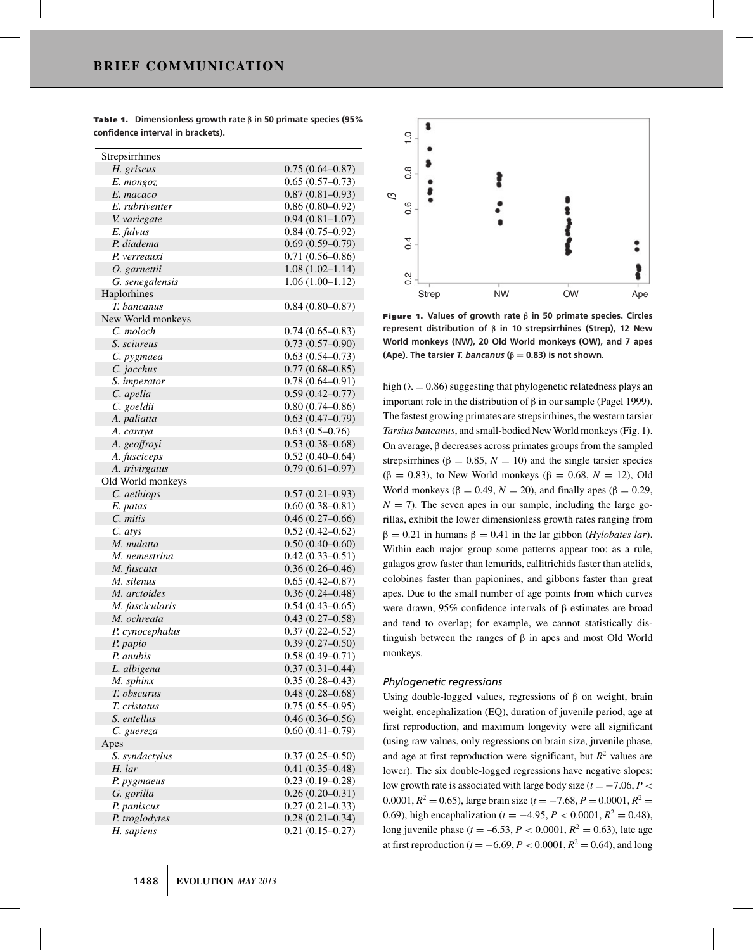| Strepsirrhines    |                     |
|-------------------|---------------------|
| H. griseus        | $0.75(0.64 - 0.87)$ |
| E. mongoz         | $0.65(0.57-0.73)$   |
| E. macaco         | $0.87(0.81 - 0.93)$ |
| E. rubriventer    | $0.86(0.80 - 0.92)$ |
| V. variegate      | $0.94(0.81-1.07)$   |
| E. fulvus         | $0.84(0.75-0.92)$   |
| P. diadema        | $0.69(0.59 - 0.79)$ |
| P. verreauxi      | $0.71(0.56 - 0.86)$ |
| O. garnettii      | $1.08(1.02 - 1.14)$ |
| G. senegalensis   | $1.06(1.00-1.12)$   |
| Haplorhines       |                     |
| T. bancanus       | $0.84(0.80 - 0.87)$ |
| New World monkeys |                     |
| C. moloch         | $0.74(0.65 - 0.83)$ |
| S. sciureus       | $0.73(0.57-0.90)$   |
| C. pygmaea        | $0.63(0.54 - 0.73)$ |
| C. jacchus        | $0.77(0.68 - 0.85)$ |
| S. imperator      | $0.78(0.64 - 0.91)$ |
| C. apella         | $0.59(0.42 - 0.77)$ |
|                   | $0.80(0.74 - 0.86)$ |
| C. goeldii        |                     |
| A. paliatta       | $0.63(0.47-0.79)$   |
| A. caraya         | $0.63(0.5-0.76)$    |
| A. geoffroyi      | $0.53(0.38 - 0.68)$ |
| A. fusciceps      | $0.52(0.40-0.64)$   |
| A. trivirgatus    | $0.79(0.61 - 0.97)$ |
| Old World monkeys |                     |
| C. aethiops       | $0.57(0.21 - 0.93)$ |
| E. patas          | $0.60(0.38 - 0.81)$ |
| C. mitis          | $0.46(0.27-0.66)$   |
| $C.$ atys         | $0.52(0.42 - 0.62)$ |
| M. mulatta        | $0.50(0.40-0.60)$   |
| M. nemestrina     | $0.42(0.33 - 0.51)$ |
| M. fuscata        | $0.36(0.26 - 0.46)$ |
| M. silenus        | $0.65(0.42 - 0.87)$ |
| M. arctoides      | $0.36(0.24 - 0.48)$ |
| M. fascicularis   | $0.54(0.43 - 0.65)$ |
| M. ochreata       | $0.43(0.27 - 0.58)$ |
| P. cynocephalus   | $0.37(0.22 - 0.52)$ |
| P. papio          | $0.39(0.27 - 0.50)$ |
| P. anubis         | $0.58(0.49 - 0.71)$ |
| L. albigena       | $0.37(0.31 - 0.44)$ |
| M. sphinx         | $0.35(0.28 - 0.43)$ |
| T. obscurus       | $0.48(0.28 - 0.68)$ |
| T. cristatus      | $0.75(0.55-0.95)$   |
| S. entellus       | $0.46(0.36 - 0.56)$ |
| C. guereza        | $0.60(0.41-0.79)$   |
| Apes              |                     |
| S. syndactylus    | $0.37(0.25 - 0.50)$ |
| H. lar            | $0.41(0.35 - 0.48)$ |
| P. pygmaeus       | $0.23(0.19-0.28)$   |
| G. gorilla        | $0.26(0.20-0.31)$   |
| P. paniscus       | $0.27(0.21 - 0.33)$ |
| P. troglodytes    | $0.28(0.21-0.34)$   |
| H. sapiens        | $0.21(0.15-0.27)$   |

| <b>Table 1.</b> Dimensionless growth rate $\beta$ in 50 primate species (95%) |  |  |  |
|-------------------------------------------------------------------------------|--|--|--|
| confidence interval in brackets).                                             |  |  |  |



**Figure 1. Values of growth rate β in 50 primate species. Circles represent distribution of β in 10 strepsirrhines (Strep), 12 New World monkeys (NW), 20 Old World monkeys (OW), and 7 apes (Ape). The tarsier** *T. bancanus* **(** $\beta$  **= 0.83) is not shown.** 

high ( $\lambda = 0.86$ ) suggesting that phylogenetic relatedness plays an important role in the distribution of β in our sample (Pagel 1999). The fastest growing primates are strepsirrhines, the western tarsier *Tarsius bancanus*, and small-bodied New World monkeys (Fig. 1). On average, β decreases across primates groups from the sampled strepsirrhines ( $\beta = 0.85$ ,  $N = 10$ ) and the single tarsier species (β = 0.83), to New World monkeys (β = 0.68, *N* = 12), Old World monkeys ( $\beta = 0.49$ ,  $N = 20$ ), and finally apes ( $\beta = 0.29$ ,  $N = 7$ ). The seven apes in our sample, including the large gorillas, exhibit the lower dimensionless growth rates ranging from  $β = 0.21$  in humans  $β = 0.41$  in the lar gibbon (*Hylobates lar*). Within each major group some patterns appear too: as a rule, galagos grow faster than lemurids, callitrichids faster than atelids, colobines faster than papionines, and gibbons faster than great apes. Due to the small number of age points from which curves were drawn, 95% confidence intervals of β estimates are broad and tend to overlap; for example, we cannot statistically distinguish between the ranges of β in apes and most Old World monkeys.

### *Phylogenetic regressions*

Using double-logged values, regressions of β on weight, brain weight, encephalization (EQ), duration of juvenile period, age at first reproduction, and maximum longevity were all significant (using raw values, only regressions on brain size, juvenile phase, and age at first reproduction were significant, but  $R^2$  values are lower). The six double-logged regressions have negative slopes: low growth rate is associated with large body size  $(t = -7.06, P <$ 0.0001,  $R^2 = 0.65$ ), large brain size ( $t = -7.68$ ,  $P = 0.0001$ ,  $R^2 =$ 0.69), high encephalization ( $t = -4.95$ ,  $P < 0.0001$ ,  $R<sup>2</sup> = 0.48$ ), long juvenile phase ( $t = -6.53$ ,  $P < 0.0001$ ,  $R^2 = 0.63$ ), late age at first reproduction ( $t = -6.69, P < 0.0001, R^2 = 0.64$ ), and long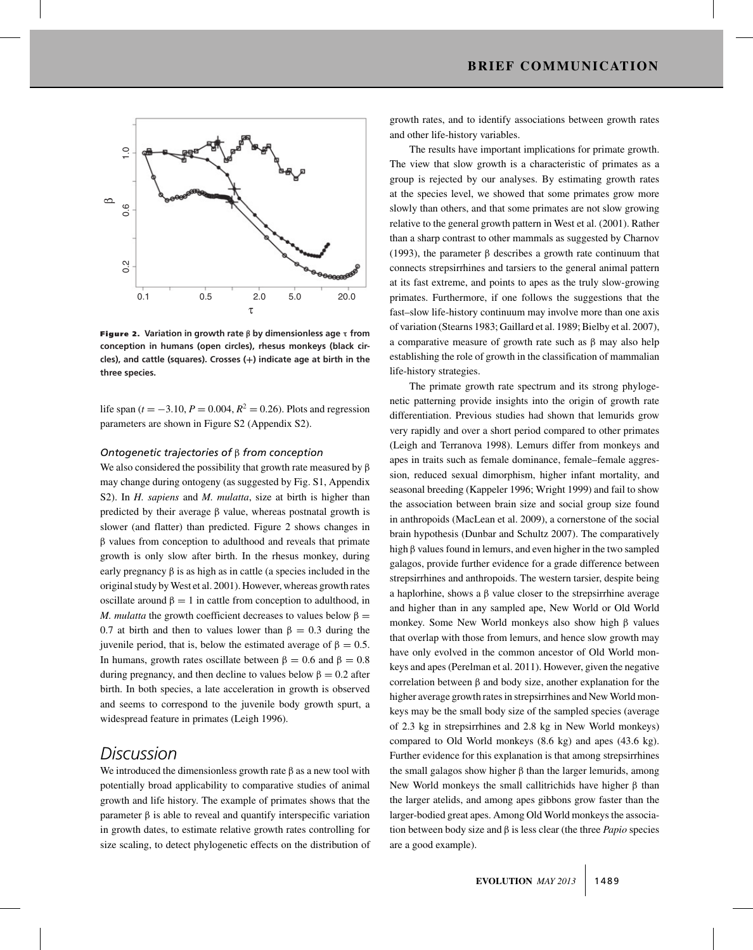

**Figure 2. Variation in growth rate β by dimensionless age τ from conception in humans (open circles), rhesus monkeys (black circles), and cattle (squares). Crosses (+) indicate age at birth in the three species.**

life span ( $t = -3.10$ ,  $P = 0.004$ ,  $R^2 = 0.26$ ). Plots and regression parameters are shown in Figure S2 (Appendix S2).

#### *Ontogenetic trajectories of* β *from conception*

We also considered the possibility that growth rate measured by  $\beta$ may change during ontogeny (as suggested by Fig. S1, Appendix S2). In *H. sapiens* and *M. mulatta*, size at birth is higher than predicted by their average β value, whereas postnatal growth is slower (and flatter) than predicted. Figure 2 shows changes in β values from conception to adulthood and reveals that primate growth is only slow after birth. In the rhesus monkey, during early pregnancy  $\beta$  is as high as in cattle (a species included in the original study by West et al. 2001). However, whereas growth rates oscillate around  $\beta = 1$  in cattle from conception to adulthood, in *M. mulatta* the growth coefficient decreases to values below  $\beta$  = 0.7 at birth and then to values lower than  $\beta = 0.3$  during the juvenile period, that is, below the estimated average of  $β = 0.5$ . In humans, growth rates oscillate between  $β = 0.6$  and  $β = 0.8$ during pregnancy, and then decline to values below  $\beta = 0.2$  after birth. In both species, a late acceleration in growth is observed and seems to correspond to the juvenile body growth spurt, a widespread feature in primates (Leigh 1996).

### *Discussion*

We introduced the dimensionless growth rate  $\beta$  as a new tool with potentially broad applicability to comparative studies of animal growth and life history. The example of primates shows that the parameter β is able to reveal and quantify interspecific variation in growth dates, to estimate relative growth rates controlling for size scaling, to detect phylogenetic effects on the distribution of growth rates, and to identify associations between growth rates and other life-history variables.

The results have important implications for primate growth. The view that slow growth is a characteristic of primates as a group is rejected by our analyses. By estimating growth rates at the species level, we showed that some primates grow more slowly than others, and that some primates are not slow growing relative to the general growth pattern in West et al. (2001). Rather than a sharp contrast to other mammals as suggested by Charnov (1993), the parameter  $\beta$  describes a growth rate continuum that connects strepsirrhines and tarsiers to the general animal pattern at its fast extreme, and points to apes as the truly slow-growing primates. Furthermore, if one follows the suggestions that the fast–slow life-history continuum may involve more than one axis of variation (Stearns 1983; Gaillard et al. 1989; Bielby et al. 2007), a comparative measure of growth rate such as β may also help establishing the role of growth in the classification of mammalian life-history strategies.

The primate growth rate spectrum and its strong phylogenetic patterning provide insights into the origin of growth rate differentiation. Previous studies had shown that lemurids grow very rapidly and over a short period compared to other primates (Leigh and Terranova 1998). Lemurs differ from monkeys and apes in traits such as female dominance, female–female aggression, reduced sexual dimorphism, higher infant mortality, and seasonal breeding (Kappeler 1996; Wright 1999) and fail to show the association between brain size and social group size found in anthropoids (MacLean et al. 2009), a cornerstone of the social brain hypothesis (Dunbar and Schultz 2007). The comparatively high β values found in lemurs, and even higher in the two sampled galagos, provide further evidence for a grade difference between strepsirrhines and anthropoids. The western tarsier, despite being a haplorhine, shows a β value closer to the strepsirrhine average and higher than in any sampled ape, New World or Old World monkey. Some New World monkeys also show high β values that overlap with those from lemurs, and hence slow growth may have only evolved in the common ancestor of Old World monkeys and apes (Perelman et al. 2011). However, given the negative correlation between β and body size, another explanation for the higher average growth rates in strepsirrhines and New World monkeys may be the small body size of the sampled species (average of 2.3 kg in strepsirrhines and 2.8 kg in New World monkeys) compared to Old World monkeys (8.6 kg) and apes (43.6 kg). Further evidence for this explanation is that among strepsirrhines the small galagos show higher β than the larger lemurids, among New World monkeys the small callitrichids have higher β than the larger atelids, and among apes gibbons grow faster than the larger-bodied great apes. Among Old World monkeys the association between body size and β is less clear (the three *Papio* species are a good example).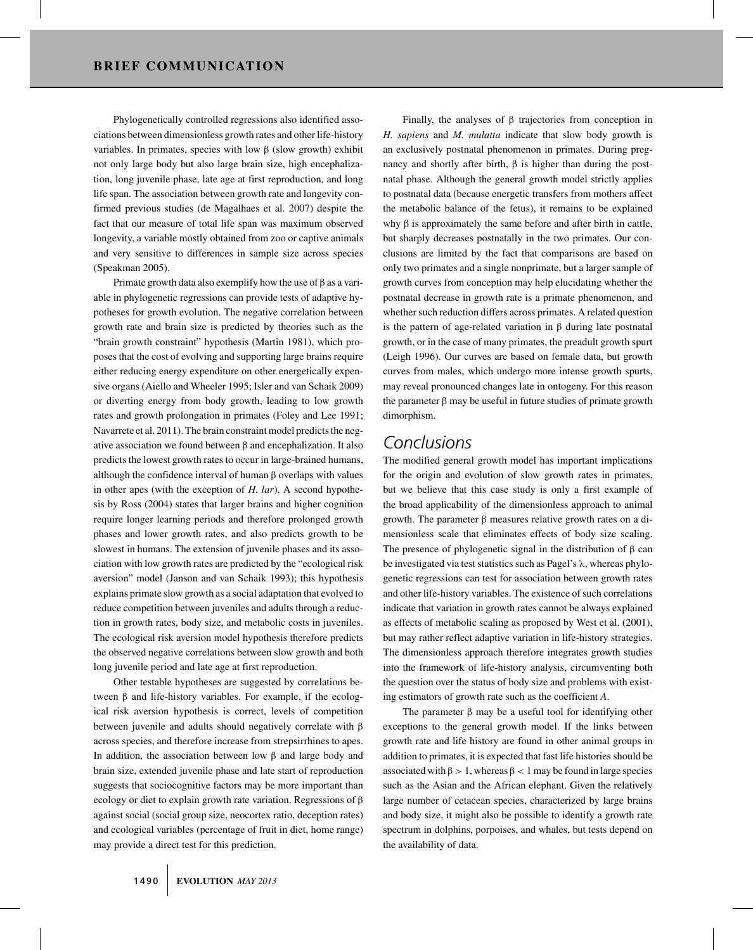Phylogenetically controlled regressions also identified associations between dimensionless growth rates and other life-history variables. In primates, species with low β (slow growth) exhibit not only large body but also large brain size, high encephalization, long juvenile phase, late age at first reproduction, and long life span. The association between growth rate and longevity confirmed previous studies (de Magalhaes et al. 2007) despite the fact that our measure of total life span was maximum observed longevity, a variable mostly obtained from zoo or captive animals and very sensitive to differences in sample size across species (Speakman 2005).

Primate growth data also exemplify how the use of  $\beta$  as a variable in phylogenetic regressions can provide tests of adaptive hypotheses for growth evolution. The negative correlation between growth rate and brain size is predicted by theories such as the "brain growth constraint" hypothesis (Martin 1981), which proposes that the cost of evolving and supporting large brains require either reducing energy expenditure on other energetically expensive organs (Aiello and Wheeler 1995; Isler and van Schaik 2009) or diverting energy from body growth, leading to low growth rates and growth prolongation in primates (Foley and Lee 1991; Navarrete et al. 2011). The brain constraint model predicts the negative association we found between β and encephalization. It also predicts the lowest growth rates to occur in large-brained humans, although the confidence interval of human β overlaps with values in other apes (with the exception of *H. lar*). A second hypothesis by Ross (2004) states that larger brains and higher cognition require longer learning periods and therefore prolonged growth phases and lower growth rates, and also predicts growth to be slowest in humans. The extension of juvenile phases and its association with low growth rates are predicted by the "ecological risk aversion" model (Janson and van Schaik 1993); this hypothesis explains primate slow growth as a social adaptation that evolved to reduce competition between juveniles and adults through a reduction in growth rates, body size, and metabolic costs in juveniles. The ecological risk aversion model hypothesis therefore predicts the observed negative correlations between slow growth and both long juvenile period and late age at first reproduction.

Other testable hypotheses are suggested by correlations between β and life-history variables. For example, if the ecological risk aversion hypothesis is correct, levels of competition between juvenile and adults should negatively correlate with β across species, and therefore increase from strepsirrhines to apes. In addition, the association between low β and large body and brain size, extended juvenile phase and late start of reproduction suggests that sociocognitive factors may be more important than ecology or diet to explain growth rate variation. Regressions of β against social (social group size, neocortex ratio, deception rates) and ecological variables (percentage of fruit in diet, home range) may provide a direct test for this prediction.

Finally, the analyses of β trajectories from conception in *H. sapiens* and *M. mulatta* indicate that slow body growth is an exclusively postnatal phenomenon in primates. During pregnancy and shortly after birth,  $β$  is higher than during the postnatal phase. Although the general growth model strictly applies to postnatal data (because energetic transfers from mothers affect the metabolic balance of the fetus), it remains to be explained why  $\beta$  is approximately the same before and after birth in cattle, but sharply decreases postnatally in the two primates. Our conclusions are limited by the fact that comparisons are based on only two primates and a single nonprimate, but a larger sample of growth curves from conception may help elucidating whether the postnatal decrease in growth rate is a primate phenomenon, and whether such reduction differs across primates. A related question is the pattern of age-related variation in β during late postnatal growth, or in the case of many primates, the preadult growth spurt (Leigh 1996). Our curves are based on female data, but growth curves from males, which undergo more intense growth spurts, may reveal pronounced changes late in ontogeny. For this reason the parameter β may be useful in future studies of primate growth dimorphism.

### *Conclusions*

The modified general growth model has important implications for the origin and evolution of slow growth rates in primates, but we believe that this case study is only a first example of the broad applicability of the dimensionless approach to animal growth. The parameter β measures relative growth rates on a dimensionless scale that eliminates effects of body size scaling. The presence of phylogenetic signal in the distribution of β can be investigated via test statistics such as Pagel's λ, whereas phylogenetic regressions can test for association between growth rates and other life-history variables. The existence of such correlations indicate that variation in growth rates cannot be always explained as effects of metabolic scaling as proposed by West et al. (2001), but may rather reflect adaptive variation in life-history strategies. The dimensionless approach therefore integrates growth studies into the framework of life-history analysis, circumventing both the question over the status of body size and problems with existing estimators of growth rate such as the coefficient *A*.

The parameter  $\beta$  may be a useful tool for identifying other exceptions to the general growth model. If the links between growth rate and life history are found in other animal groups in addition to primates, it is expected that fast life histories should be associated with  $\beta > 1$ , whereas  $\beta < 1$  may be found in large species such as the Asian and the African elephant. Given the relatively large number of cetacean species, characterized by large brains and body size, it might also be possible to identify a growth rate spectrum in dolphins, porpoises, and whales, but tests depend on the availability of data.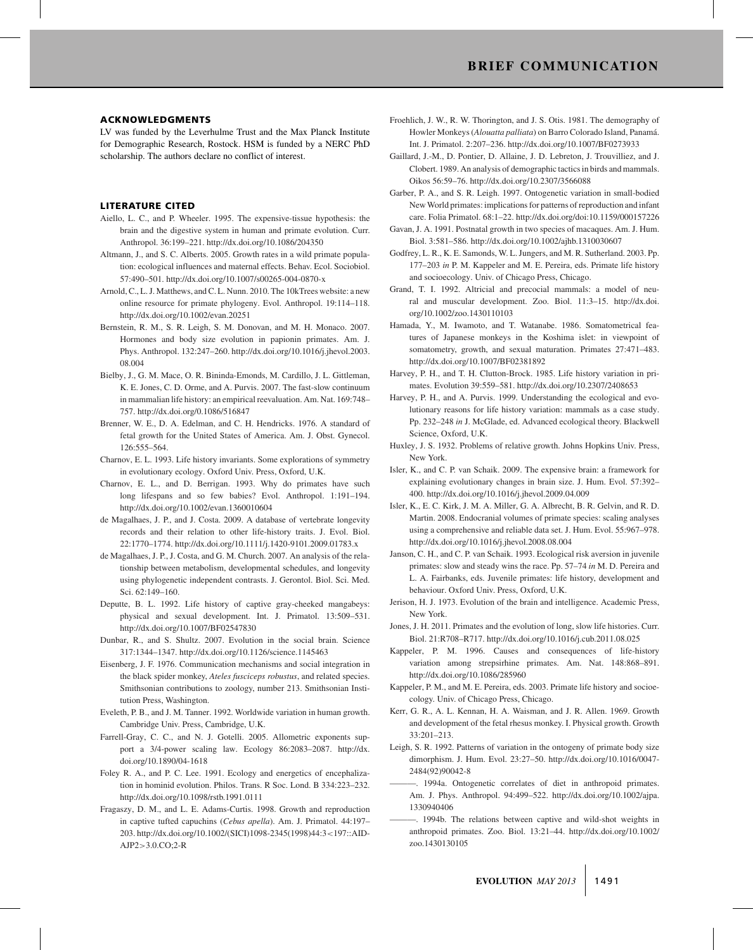### **ACKNOWLEDGMENTS**

LV was funded by the Leverhulme Trust and the Max Planck Institute for Demographic Research, Rostock. HSM is funded by a NERC PhD scholarship. The authors declare no conflict of interest.

#### **LITERATURE CITED**

- Aiello, L. C., and P. Wheeler. 1995. The expensive-tissue hypothesis: the brain and the digestive system in human and primate evolution. Curr. Anthropol. 36:199–221. http://dx.doi.org/10.1086/204350
- Altmann, J., and S. C. Alberts. 2005. Growth rates in a wild primate population: ecological influences and maternal effects. Behav. Ecol. Sociobiol. 57:490–501. http://dx.doi.org/10.1007/s00265-004-0870-x
- Arnold, C., L. J. Matthews, and C. L. Nunn. 2010. The 10kTrees website: a new online resource for primate phylogeny. Evol. Anthropol. 19:114–118. http://dx.doi.org/10.1002/evan.20251
- Bernstein, R. M., S. R. Leigh, S. M. Donovan, and M. H. Monaco. 2007. Hormones and body size evolution in papionin primates. Am. J. Phys. Anthropol. 132:247–260. http://dx.doi.org/10.1016/j.jhevol.2003. 08.004
- Bielby, J., G. M. Mace, O. R. Bininda-Emonds, M. Cardillo, J. L. Gittleman, K. E. Jones, C. D. Orme, and A. Purvis. 2007. The fast-slow continuum in mammalian life history: an empirical reevaluation. Am. Nat. 169:748– 757. http://dx.doi.org/0.1086/516847
- Brenner, W. E., D. A. Edelman, and C. H. Hendricks. 1976. A standard of fetal growth for the United States of America. Am. J. Obst. Gynecol. 126:555–564.
- Charnov, E. L. 1993. Life history invariants. Some explorations of symmetry in evolutionary ecology. Oxford Univ. Press, Oxford, U.K.
- Charnov, E. L., and D. Berrigan. 1993. Why do primates have such long lifespans and so few babies? Evol. Anthropol. 1:191–194. http://dx.doi.org/10.1002/evan.1360010604
- de Magalhaes, J. P., and J. Costa. 2009. A database of vertebrate longevity records and their relation to other life-history traits. J. Evol. Biol. 22:1770–1774. http://dx.doi.org/10.1111/j.1420-9101.2009.01783.x
- de Magalhaes, J. P., J. Costa, and G. M. Church. 2007. An analysis of the relationship between metabolism, developmental schedules, and longevity using phylogenetic independent contrasts. J. Gerontol. Biol. Sci. Med. Sci. 62:149–160.
- Deputte, B. L. 1992. Life history of captive gray-cheeked mangabeys: physical and sexual development. Int. J. Primatol. 13:509–531. http://dx.doi.org/10.1007/BF02547830
- Dunbar, R., and S. Shultz. 2007. Evolution in the social brain. Science 317:1344–1347. http://dx.doi.org/10.1126/science.1145463
- Eisenberg, J. F. 1976. Communication mechanisms and social integration in the black spider monkey, *Ateles fusciceps robustus*, and related species. Smithsonian contributions to zoology, number 213. Smithsonian Institution Press, Washington.
- Eveleth, P. B., and J. M. Tanner. 1992. Worldwide variation in human growth. Cambridge Univ. Press, Cambridge, U.K.
- Farrell-Gray, C. C., and N. J. Gotelli. 2005. Allometric exponents support a 3/4-power scaling law. Ecology 86:2083–2087. http://dx. doi.org/10.1890/04-1618
- Foley R. A., and P. C. Lee. 1991. Ecology and energetics of encephalization in hominid evolution. Philos. Trans. R Soc. Lond. B 334:223–232. http://dx.doi.org/10.1098/rstb.1991.0111
- Fragaszy, D. M., and L. E. Adams-Curtis. 1998. Growth and reproduction in captive tufted capuchins (*Cebus apella*). Am. J. Primatol. 44:197– 203. http://dx.doi.org/10.1002/(SICI)1098-2345(1998)44:3*<*197::AID-AJP2*>*3.0.CO;2-R
- Froehlich, J. W., R. W. Thorington, and J. S. Otis. 1981. The demography of Howler Monkeys (*Alouatta palliata*) on Barro Colorado Island, Panama.´ Int. J. Primatol. 2:207–236. http://dx.doi.org/10.1007/BF0273933
- Gaillard, J.-M., D. Pontier, D. Allaine, J. D. Lebreton, J. Trouvilliez, and J. Clobert. 1989. An analysis of demographic tactics in birds and mammals. Oikos 56:59–76. http://dx.doi.org/10.2307/3566088
- Garber, P. A., and S. R. Leigh. 1997. Ontogenetic variation in small-bodied New World primates: implications for patterns of reproduction and infant care. Folia Primatol. 68:1–22. http://dx.doi.org/doi:10.1159/000157226
- Gavan, J. A. 1991. Postnatal growth in two species of macaques. Am. J. Hum. Biol. 3:581–586. http://dx.doi.org/10.1002/ajhb.1310030607
- Godfrey, L. R., K. E. Samonds, W. L. Jungers, and M. R. Sutherland. 2003. Pp. 177–203 *in* P. M. Kappeler and M. E. Pereira, eds. Primate life history and socioecology. Univ. of Chicago Press, Chicago.
- Grand, T. I. 1992. Altricial and precocial mammals: a model of neural and muscular development. Zoo. Biol. 11:3–15. http://dx.doi. org/10.1002/zoo.1430110103
- Hamada, Y., M. Iwamoto, and T. Watanabe. 1986. Somatometrical features of Japanese monkeys in the Koshima islet: in viewpoint of somatometry, growth, and sexual maturation. Primates 27:471–483. http://dx.doi.org/10.1007/BF02381892
- Harvey, P. H., and T. H. Clutton-Brock. 1985. Life history variation in primates. Evolution 39:559–581. http://dx.doi.org/10.2307/2408653
- Harvey, P. H., and A. Purvis. 1999. Understanding the ecological and evolutionary reasons for life history variation: mammals as a case study. Pp. 232–248 *in* J. McGlade, ed. Advanced ecological theory. Blackwell Science, Oxford, U.K.
- Huxley, J. S. 1932. Problems of relative growth. Johns Hopkins Univ. Press, New York.
- Isler, K., and C. P. van Schaik. 2009. The expensive brain: a framework for explaining evolutionary changes in brain size. J. Hum. Evol. 57:392– 400. http://dx.doi.org/10.1016/j.jhevol.2009.04.009
- Isler, K., E. C. Kirk, J. M. A. Miller, G. A. Albrecht, B. R. Gelvin, and R. D. Martin. 2008. Endocranial volumes of primate species: scaling analyses using a comprehensive and reliable data set. J. Hum. Evol. 55:967–978. http://dx.doi.org/10.1016/j.jhevol.2008.08.004
- Janson, C. H., and C. P. van Schaik. 1993. Ecological risk aversion in juvenile primates: slow and steady wins the race. Pp. 57–74 *in* M. D. Pereira and L. A. Fairbanks, eds. Juvenile primates: life history, development and behaviour. Oxford Univ. Press, Oxford, U.K.
- Jerison, H. J. 1973. Evolution of the brain and intelligence. Academic Press, New York.
- Jones, J. H. 2011. Primates and the evolution of long, slow life histories. Curr. Biol. 21:R708–R717. http://dx.doi.org/10.1016/j.cub.2011.08.025
- Kappeler, P. M. 1996. Causes and consequences of life-history variation among strepsirhine primates. Am. Nat. 148:868–891. http://dx.doi.org/10.1086/285960
- Kappeler, P. M., and M. E. Pereira, eds. 2003. Primate life history and socioecology. Univ. of Chicago Press, Chicago.
- Kerr, G. R., A. L. Kennan, H. A. Waisman, and J. R. Allen. 1969. Growth and development of the fetal rhesus monkey. I. Physical growth. Growth 33:201–213.
- Leigh, S. R. 1992. Patterns of variation in the ontogeny of primate body size dimorphism. J. Hum. Evol. 23:27–50. http://dx.doi.org/10.1016/0047- 2484(92)90042-8
- ———. 1994a. Ontogenetic correlates of diet in anthropoid primates. Am. J. Phys. Anthropol. 94:499–522. http://dx.doi.org/10.1002/ajpa. 1330940406
- ———. 1994b. The relations between captive and wild-shot weights in anthropoid primates. Zoo. Biol. 13:21–44. http://dx.doi.org/10.1002/ zoo.1430130105